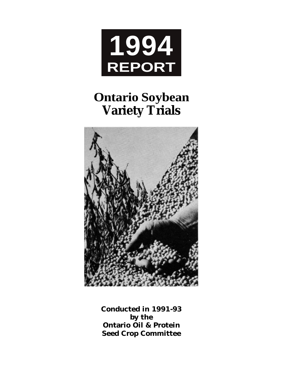

# **Ontario Soybean Variety Trials**



**Conducted in 1991-93 by the Ontario Oil & Protein Seed Crop Committee**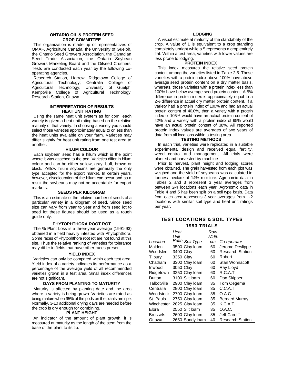#### **ONTARIO OIL & PROTEIN SEED CROP COMMITTEE**

This organization is made up of representatives of OMAF, Agriculture Canada, the University of Guelph, the Ontario Seed Growers Association, the Canadian Seed Trade Association, the Ontario Soybean Growers Marketing Board and the Oilseed Crushers. Tests are conducted each year by the following cooperating agencies.

Research Station, Harrow; Ridgetown College of Agricultural Technology; Centralia College of Agricultural Technology; University of Guelph; Kemptville College of Agricultural Technology; Research Station, Ottawa.

#### **INTERPRETATION OF RESULTS HEAT UNIT RATING**

Using the same heat unit system as for corn, each variety is given a heat unit rating based on the relative maturity of that variety. In choosing a variety you should select those varieties approximately equal to or less than the heat units available on your farm. Varieties may differ slightly for heat unit rating from one test area to another.

#### **HILUM COLOUR**

Each soybean seed has a hilum which is the point where it was attached to the pod. Varieties differ in hilum colour and can be either yellow, gray, buff, brown or black. Yellow hilum soybeans are generally the only type accepted for the export market. In certain years, however, discolouration of the hilum can occur and as a result the soybeans may not be acceptable for export markets.

#### **SEEDS PER KILOGRAM**

This is an estimate of the relative number of seeds of a particular variety in a kilogram of seed. Since seed size can vary from year to year and from seed lot to seed lot these figures should be used as a rough quide only.

#### **PHYTOPHTHORA ROOT ROT**

The % Plant Loss is a three-year average (1991-93) obtained in a field heavily infested with Phytophthora. Some races of Phytophthora root rot are not found at this site. Thus the relative ranking of varieties for tolerance may differ in fields that have other races present.

#### **YIELD INDEX**

Varieties can only be compared within each test area. Yield index of a variety indicates its performance as a percentage of the average yield of all recommended varieties grown in a test area. Small index differences are not significant.

#### **DAYS FROM PLANTING TO MATURITY**

Maturity is affected by planting date and the area where a variety is being grown. Varieties are rated as being mature when 95% of the pods on the plants are ripe. Normally, 3-10 additional drying days are needed before the crop is dry enough for combining.

#### **PLANT HEIGHT**

An indicator of the amount of plant growth, it is measured at maturity as the length of the stem from the base of the plant to its tip.

#### **LODGING**

A visual estimate at maturity of the standability of the crop. A value of 1 is equivalent to a crop standing completely upright while a 5 represents a crop entirely flat. Within a test area, varieties with lower values are less prone to lodging.

#### **PROTEIN INDEX**

This index measures the relative seed protein content among the varieties listed in Table 2-5. Those varieties with a protein index above 100% have above average seed protein content on a dry matter basis, whereas, those varieties with a protein index less than 100% have below average seed protein content. A 5% difference in protein index is approximately equal to a 2% difference in actual dry matter protein content. If a variety had a protein index of 100% and had an actual protein content of 40.0%, then a variety with a protein index of 105% would have an actual protein content of 42% and a variety with a protein index of 95% would have an actual protein content of 38%. All reported protein index values are averages of two years of data from all locations within a testing area.

#### **TESTING METHODS**

In each trial, varieties were replicated in a suitable experimental design and received equal fertility, weed control and management. All trials were planted and harvested by machine.

Prior to harvest, plant height and lodging scores were obtained. The grain harvested from each plot was weighed and the yield of soybeans was calculated in tonnes/ hectare at 14% moisture. Agronomic data in Tables 2 and 3 represent 3 year averages from between 2-4 locations each year. Agronomic data in Table 4 and 5 has been split on a soil type basis. Data from each area represents 3 year averages from 1-2 locations with similar soil type and heat unit ratings per year.

#### **TEST LOCATIONS & SOIL TYPES 1993 TRIALS**

|                 | Heat      |                 | Row    |                         |
|-----------------|-----------|-----------------|--------|-------------------------|
|                 | Unit      |                 | Width  |                         |
| Location        |           | Ratin Soil Type | $-cm-$ | Co-operator             |
| Malden          |           | 3500 Clay loam  | 60     | Jerome Deslippe         |
| Woodslee        | 3400 Clay |                 | 60     | <b>Research Station</b> |
| Tilbury         | 3350 Clay |                 | 60     | Robert                  |
| Chatham         |           | 3300 Clay loam  | 60     | Stan Wonnacott          |
| Inwood          | 3050 Clay |                 | 60     | Ray Lloyd               |
| Ridgetown       |           | 3250 Clay loam  | 60     | R.C.A.T.                |
| Dutton          |           | 3100 Silt loam  | 60     | Don Skipper             |
| Talbotville     |           | 2900 Clay loam  | 35     | Tom Oegema              |
| Centralia       |           | 2800 Clay loam  | 35     | C.C.A.T.                |
| Woodstock       |           | 2700 Clay loam  | 35     | O.A.C.                  |
| St. Pauls       |           | 2750 Clay loam  | 35     | <b>Bernard Murray</b>   |
| Winchester      |           | 2825 Clay loam  | 35     | K.C.A.T.                |
| Elora           |           | 2550 Silt loam  | 35     | O.A.C.                  |
| <b>Brussels</b> |           | 2600 Clay loam  | 35     | Jeff Cardiff            |
| Ottawa          |           | 2650 Sandy loam | 40     | <b>Research Station</b> |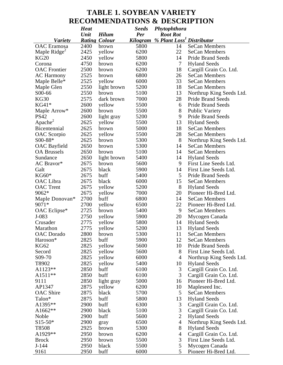### **TABLE 1. SOYBEAN VARIETY RECOMMENDATIONS & DESCRIPTION**

|                                            | <b>Heat</b> |                      | <b>Seeds</b> | Phytophthora                          |                          |
|--------------------------------------------|-------------|----------------------|--------------|---------------------------------------|--------------------------|
|                                            | Unit        | <b>Hilum</b>         | Per          | <b>Root Rot</b>                       |                          |
| <b>Variety</b>                             |             | <b>Rating Colour</b> | Kilogram     | % Plant Loss <sup>1</sup> Distributor |                          |
| <b>OAC</b> Eramosa                         | 2400        | brown                | 5800         | 14                                    | <b>SeCan Members</b>     |
| Maple Ridge <sup><math>\angle</math></sup> | 2425        | yellow               | 6200         | 22                                    | <b>SeCan Members</b>     |
| <b>KG20</b>                                | 2450        | yellow               | 5800         | 14                                    | <b>Pride Brand Seeds</b> |
| Corona                                     | 4750        | brown                | 6200         | 7                                     | <b>Hyland Seeds</b>      |
| <b>OAC</b> Frontier                        | 2500        | brown                | 6200         | 18                                    | Cargill Grain Co. Ltd.   |
| <b>AC Harmony</b>                          | 2525        | brown                | 6800         | 26                                    | <b>SeCan Members</b>     |
| Maple Belle*                               | 2525        | yellow               | 6000         | 33                                    | <b>SeCan Members</b>     |
| Maple Glen                                 | 2550        | light brown          | 5200         | 18                                    | <b>SeCan Members</b>     |
| S00-66                                     | 2550        | brown                | 5100         | 13                                    | Northrup King Seeds Ltd. |
| KG30                                       | 2575        | dark brown           | 7000         | 28                                    | <b>Pride Brand Seeds</b> |
| $KG41*$                                    | 2600        | yellow               | 5500         | 6                                     | <b>Pride Brand Seeds</b> |
| Maple Arrow*                               | 2600        | brown                | 5500         | 8                                     | <b>Public Variety</b>    |
| <b>PS42</b>                                | 2600        | light gray           | 5200         | 9                                     | <b>Pride Brand Seeds</b> |
| Apache <sup>2</sup>                        | 2625        | yellow               | 5500         | 13                                    | <b>Hyland Seeds</b>      |
| Bicentennial                               | 2625        | brown                | 5000         | 18                                    | <b>SeCan Members</b>     |
| OAC Scorpio                                | 2625        | yellow               | 5500         | 28                                    | <b>SeCan Members</b>     |
| S00-88*                                    | 2625        | brown                | 5300         | 8                                     | Northrup King Seeds Ltd. |
| <b>OAC</b> Bayfield                        | 2650        | brown                | 5300         | 14                                    | <b>SeCan Members</b>     |
| <b>OA Brussels</b>                         | 2650        | brown                | 5100         | 14                                    | <b>SeCan Members</b>     |
| Sundance                                   | 2650        | light brown          | 5400         | 14                                    | <b>Hyland Seeds</b>      |
| AC Bravor*                                 | 2675        | brown                | 5600         | 9                                     | First Line Seeds Ltd.    |
| Galt                                       | 2675        | black                | 5900         | 14                                    | First Line Seeds Ltd.    |
|                                            | 2675        |                      |              | 5                                     |                          |
| $KG60*$                                    |             | buff                 | 5400         |                                       | <b>Pride Brand Seeds</b> |
| OAC Libra                                  | 2675        | black                | 6000         | 15                                    | <b>SeCan Members</b>     |
| <b>OAC</b> Trent                           | 2675        | yellow               | 5200         | 8                                     | <b>Hyland Seeds</b>      |
| 9062*                                      | 2675        | yellow               | 7000         | 20                                    | Pioneer Hi-Bred Ltd.     |
| Maple Donovan*                             | 2700        | buff                 | 6800         | 14                                    | <b>SeCan Members</b>     |
| 9071*                                      | 2700        | yellow               | 6500         | 22                                    | Pioneer Hi-Bred Ltd.     |
| OAC Eclipse*                               | 2725        | brown                | 5400         | 9                                     | <b>SeCan Members</b>     |
| J-083                                      | 2750        | yellow               | 5900         | 20                                    | Mycogen Canada           |
| Crusader                                   | 2775        | yellow               | 5800         | 14                                    | <b>Hyland Seeds</b>      |
| Marathon                                   | 2775        | yellow               | 5200         | 13                                    | <b>Hyland Seeds</b>      |
| <b>OAC</b> Dorado                          | 2800        | brown                | 5300         | 11                                    | <b>SeCan Members</b>     |
| Haroson <sup>*</sup>                       | 2825        | buff                 | 5900         | 12                                    | SeCan Members            |
| <b>KG62</b>                                | 2825        | yellow               | 5600         | 10                                    | <b>Pride Brand Seeds</b> |
| Secord                                     | 2825        | yellow               | 5600         | 8                                     | First Line Seeds Ltd.    |
| S09-70                                     | 2825        | yellow               | 6000         | $\overline{4}$                        | Northrup King Seeds Ltd. |
| T8902                                      | 2825        | yellow               | 5400         | 10                                    | <b>Hyland Seeds</b>      |
| A1123**                                    | 2850        | buff                 | 6100         | 3                                     | Cargill Grain Co. Ltd.   |
| A1511**                                    | 2850        | buff                 | 6100         | 3                                     | Cargill Grain Co. Ltd.   |
| 9111                                       | 2850        | light gray           | 5000         | 16                                    | Pioneer Hi-Bred Ltd.     |
| AP1347                                     | 2875        | yellow               | 6200         | 10                                    | Mapleseed Inc.           |
| <b>OAC</b> Shire                           | 2875        | black                | 5700         | 5                                     | SeCan Members            |
| Talon*                                     | 2875        | buff                 | 5800         | 13                                    | <b>Hyland Seeds</b>      |
| A1395**                                    | 2900        | buff                 | 6300         | 3                                     | Cargill Grain Co. Ltd.   |
| A1662**                                    | 2900        | black                | 5100         | $\mathfrak{Z}$                        | Cargill Grain Co. Ltd.   |
| Noble                                      | 2900        | buff                 | 5600         | $\overline{2}$                        | <b>Hyland Seeds</b>      |
| $S15-50*$                                  | 2900        | gray                 | 6500         | $\overline{4}$                        | Northrup King Seeds Ltd. |
| T8508                                      | 2925        | brown                | 5300         | $8\,$                                 | <b>Hyland Seeds</b>      |
| A1929**                                    | 2950        | brown                | 6200         | $\overline{4}$                        | Cargill Grain Co. Ltd.   |
| <b>Brock</b>                               | 2950        | brown                | 5500         | 3                                     | First Line Seeds Ltd.    |
| $J-144$                                    | 2950        | black                | 5500         | 5                                     | Mycogen Canada           |
| 9161                                       | 2950        | buff                 | 6000         | 5                                     | Pioneer Hi-Bred Ltd.     |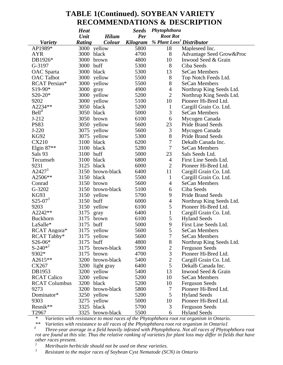### **TABLE 1(Continued). SOYBEAN VARIETY RECOMMENDATIONS & DESCRIPTION**

|                      | <b>Heat</b> |              | <b>Seeds</b> | Phytophthora                          |                          |
|----------------------|-------------|--------------|--------------|---------------------------------------|--------------------------|
|                      | Unit        | <b>Hilum</b> | Per          | <b>Root Rot</b>                       |                          |
| <b>Variety</b>       | Rating      | Colour       | Kilogram     | % Plant Loss <sup>1</sup> Distributor |                          |
| AP1989*              | 3000        | yellow       | 5800         | 18                                    | Mapleseed Inc.           |
| AYR                  | 3000        | black        | 4700         | 8                                     | Advantage Seed Grow&Proc |
| DB1926*              | 3000        | brown        | 4800         | 10                                    | Inwood Seed & Grain      |
| G-3197               | 3000        | buff         | 5300         | 8                                     | Ciba Seeds               |
| OAC Sparta           |             | 3000 black   | 5300         | 13                                    | <b>SeCan Members</b>     |
| <b>OAC</b> Talbot    |             | 3000 yellow  | 5500         | 8                                     | Top Notch Feeds Ltd.     |
| RCAT Persian*        |             | 3000 yellow  | 5500         | 8                                     | <b>SeCan Members</b>     |
| S19-90*              | 3000        | gray         | 4900         | 4                                     | Northrup King Seeds Ltd. |
| $S20-20*$            | 3000        | yellow       | 5200         | $\overline{2}$                        | Northrup King Seeds Ltd. |
| 9202                 | 3000        | yellow       | 5100         | 10                                    | Pioneer Hi-Bred Ltd.     |
| A2234**              | 3050        | black        | 5200         | $\mathbf{1}$                          | Cargill Grain Co. Ltd.   |
| Bell <sup>3</sup>    | 3050        | black        | 5000         | 3                                     | <b>SeCan Members</b>     |
| $J-212$              | 3050        | brown        | 6100         | 6                                     | Mycogen Canada           |
| <b>PS83</b>          | 3050        | yellow       | 5600         | 23                                    | <b>Pride Brand Seeds</b> |
| $J-220$              | 3075        | yellow       | 5600         | 3                                     | Mycogen Canada           |
| <b>KG92</b>          | 3075        | yellow       | 5300         | 8                                     | <b>Pride Brand Seeds</b> |
| <b>CX210</b>         | 3100        | black        | 6200         | 7                                     | Dekalb Canada Inc.       |
| Elgin $87**$         | 3100        | black        | 5280         | 7                                     | <b>SeCan Members</b>     |
| Sals 93              | 3100        | buff         | 5000         | 23                                    | Sals Seeds Ltd.          |
| Tecumseh             | 3100        | black        | 6800         | 4                                     | First Line Seeds Ltd.    |
| 9231                 | 3125        | black        | 6000         | $\overline{2}$                        | Pioneer Hi-Bred Ltd.     |
| $A2427^3$            | 3150        | brown-black  | 6400         | 11                                    | Cargill Grain Co. Ltd.   |
| A2506**              | 3150        | black        | 5500         | $\mathbf{1}$                          | Cargill Grain Co. Ltd.   |
| Conrad               | 3150        | brown        | 5600         | $\overline{4}$                        | <b>SeCan Members</b>     |
| G-3202               | 3150        | brown-black  | 5100         |                                       | Ciba Seeds               |
|                      |             |              |              | 6                                     |                          |
| KG93                 | 3150        | yellow       | 5700         | 9                                     | <b>Pride Brand Seeds</b> |
| $S25-07^3$           | 3150        | buff         | 6000         | 4                                     | Northrup King Seeds Ltd. |
| 9203                 | 3150        | yellow       | 6100         | 5                                     | Pioneer Hi-Bred Ltd.     |
| A2242**              | 3175        | gray         | 6400         | $\mathbf{1}$                          | Cargill Grain Co. Ltd.   |
| <b>Buckhorn</b>      | 3175        | brown        | 6100         | 5                                     | <b>Hyland Seeds</b>      |
| LaSalle*             | 3175        | buff         | 5000         | 9                                     | First Line Seeds Ltd.    |
| RCAT Angora*         |             | 3175 yellow  | 5600         | 5                                     | <b>SeCan Members</b>     |
| RCAT Tabby*          |             | 3175 yellow  | 5600         |                                       | SeCan Members            |
| $S26-06*$            | 3175        | buff         | 4800         | 8                                     | Northrup King Seeds Ltd. |
| $S-240*^2$           | 3175        | brown-black  | 5900         | $\overline{c}$                        | <b>Ferguson Seeds</b>    |
| 9302*                | 3175        | brown        | 4700         | 3                                     | Pioneer Hi-Bred Ltd.     |
| A2615**              | 3200        | brown-black  | 5400         | $\overline{2}$                        | Cargill Grain Co. Ltd.   |
| CX267                | 3200        | light gray   | 6400         | 5                                     | Dekalb Canada Inc.       |
| DB1953               | 3200        | yellow       | 5400         | 13                                    | Inwood Seed & Grain      |
| <b>RCAT Calico</b>   | 3200        | yellow       | 5200         | 10                                    | <b>SeCan Members</b>     |
| <b>RCAT Columbus</b> | 3200        | black        | 5200         | 10                                    | <b>Ferguson Seeds</b>    |
| 9273                 | 3200        | brown-black  | 5800         | 7                                     | Pioneer Hi-Bred Ltd.     |
| Dominator*           | 3250        | yellow       | 5200         | 5                                     | <b>Hyland Seeds</b>      |
| 9303                 | 3275        | yellow       | 5000         | 10                                    | Pioneer Hi-Bred Ltd.     |
| Resnik**             | 3325        | black        | 5700         | 3                                     | <b>Ferguson Seeds</b>    |
| T2967                | 3325        | brown-black  | 5500         | 6                                     | <b>Hyland Seeds</b>      |

*\* Varieties with resistance to most races of the Phytophthora root rot organism in Ontario.*

*\*\* Varieties with resistance to all races of the Phytophthora root rot organism in Ontario1*

*1 Three-year average in a field heavily infested with Phytophthora. Not all races of Phytophthora root rot are found at this site. Thus the relative ranking of varieties for plant loss may differ in fields that have other races present.* 

<sup>2</sup> *Metribuzin herbicide should not be used on these varieties.*<br><sup>3</sup> *Pesistant to the major races of Sovhean Cyst Namatode (SC)* 

<sup>3</sup> *Resistant to the major races of Soybean Cyst Nematode (SCN) in Ontario*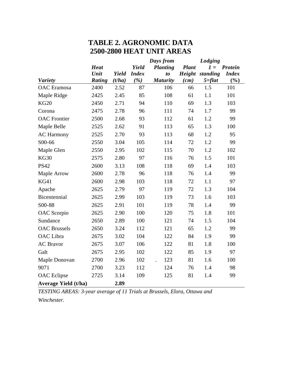# **TABLE 2. AGRONOMIC DATA 2500-2800 HEAT UNIT AREAS**

|                             |             |        |              | Days from                   |              | Lodging    |                |
|-----------------------------|-------------|--------|--------------|-----------------------------|--------------|------------|----------------|
|                             | <b>Heat</b> |        | Yield        | <b>Planting</b>             | <b>Plant</b> | $1 =$      | <b>Protein</b> |
|                             | Unit        | Yield  | <b>Index</b> | t <sub>o</sub>              | Height       | standing   | <b>Index</b>   |
| <b>Variety</b>              | Rating      | (t/ha) | ( %)         | <b>Maturity</b>             | (cm)         | $5 = flat$ | (%)            |
| <b>OAC</b> Eramosa          | 2400        | 2.52   | 87           | 106                         | 66           | 1.5        | 101            |
| Maple Ridge                 | 2425        | 2.45   | 85           | 108                         | 61           | 1.1        | 101            |
| <b>KG20</b>                 | 2450        | 2.71   | 94           | 110                         | 69           | 1.3        | 103            |
| Corona                      | 2475        | 2.78   | 96           | 111                         | 74           | 1.7        | 99             |
| <b>OAC</b> Frontier         | 2500        | 2.68   | 93           | 112                         | 61           | 1.2        | 99             |
| Maple Belle                 | 2525        | 2.62   | 91           | 113                         | 65           | 1.3        | 100            |
| <b>AC Harmony</b>           | 2525        | 2.70   | 93           | 113                         | 68           | 1.2        | 95             |
| S00-66                      | 2550        | 3.04   | 105          | 114                         | 72           | 1.2        | 99             |
| Maple Glen                  | 2550        | 2.95   | 102          | 115                         | 70           | $1.2\,$    | 102            |
| KG30                        | 2575        | 2.80   | 97           | 116                         | 76           | 1.5        | 101            |
| <b>PS42</b>                 | 2600        | 3.13   | 108          | 118                         | 69           | 1.4        | 103            |
| Maple Arrow                 | 2600        | 2.78   | 96           | 118                         | 76           | 1.4        | 99             |
| <b>KG41</b>                 | 2600        | 2.98   | 103          | 118                         | 72           | 1.1        | 97             |
| Apache                      | 2625        | 2.79   | 97           | 119                         | 72           | 1.3        | 104            |
| Bicentennial                | 2625        | 2.99   | 103          | 119                         | 73           | 1.6        | 103            |
| S00-88                      | 2625        | 2.91   | 101          | 119                         | 78           | 1.4        | 99             |
| OAC Scorpio                 | 2625        | 2.90   | 100          | 120                         | 75           | 1.8        | 101            |
| Sundance                    | 2650        | 2.89   | 100          | 121                         | 74           | 1.5        | 104            |
| <b>OAC</b> Brussels         | 2650        | 3.24   | 112          | 121                         | 65           | 1.2        | 99             |
| <b>OAC</b> Libra            | 2675        | 3.02   | 104          | 122                         | 84           | 1.9        | 99             |
| <b>AC</b> Bravor            | 2675        | 3.07   | 106          | 122                         | 81           | 1.8        | 100            |
| Galt                        | 2675        | 2.95   | 102          | 122                         | 85           | 1.9        | 97             |
| Maple Donovan               | 2700        | 2.96   | 102          | 123<br>$\ddot{\phantom{a}}$ | 81           | 1.6        | 100            |
| 9071                        | 2700        | 3.23   | 112          | 124                         | 76           | 1.4        | 98             |
| <b>OAC</b> Eclipse          | 2725        | 3.14   | 109          | 125                         | 81           | 1.4        | 99             |
| <b>Average Yield (t/ha)</b> |             | 2.89   |              |                             |              |            |                |

*TESTING AREAS: 3-year average of 11 Trials at Brussels, Elora, Ottawa and Winchester.*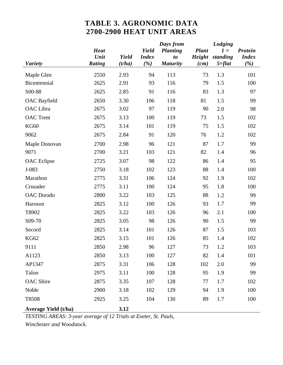## **TABLE 3. AGRONOMIC DATA 2700-2900 HEAT UNIT AREAS**

|                             |             |        |              | Days from       |              | Lodging    |                |
|-----------------------------|-------------|--------|--------------|-----------------|--------------|------------|----------------|
|                             | <b>Heat</b> |        | Yield        | <b>Planting</b> | <b>Plant</b> | $1 =$      | <b>Protein</b> |
|                             | Unit        | Yield  | <b>Index</b> | t <sub>o</sub>  | Height       | standing   | <b>Index</b>   |
| <b>Variety</b>              | Rating      | (t/ha) | (%)          | <b>Maturity</b> | (cm)         | $5 = flat$ | (%)            |
| Maple Glen                  | 2550        | 2.93   | 94           | 113             | 73           | 1.3        | 101            |
| Bicentennial                | 2625        | 2.91   | 93           | 116             | 79           | 1.5        | 100            |
| S00-88                      | 2625        | 2.85   | 91           | 116             | 83           | 1.3        | 97             |
| <b>OAC</b> Bayfield         | 2650        | 3.30   | 106          | 118             | 81           | 1.5        | 99             |
| OAC Libra                   | 2675        | 3.02   | 97           | 119             | 90           | 2.0        | 98             |
| <b>OAC</b> Trent            | 2675        | 3.13   | 100          | 119             | 73           | 1.5        | 102            |
| <b>KG60</b>                 | 2675        | 3.14   | 101          | 119             | 75           | 1.5        | 102            |
| 9062                        | 2675        | 2.84   | 91           | 120             | 76           | 1.2        | 102            |
| Maple Donovan               | 2700        | 2.98   | 96           | 121             | 87           | 1.7        | 99             |
| 9071                        | 2700        | 3.21   | 103          | 121             | 82           | 1.4        | 96             |
| <b>OAC</b> Eclipse          | 2725        | 3.07   | 98           | 122             | 86           | 1.4        | 95             |
| $J-083$                     | 2750        | 3.18   | 102          | 123             | 88           | 1.4        | 100            |
| Marathon                    | 2775        | 3.31   | 106          | 124             | 92           | 1.9        | 102            |
| Crusader                    | 2775        | 3.11   | 100          | 124             | 95           | 1.8        | 100            |
| <b>OAC</b> Dorado           | 2800        | 3.22   | 103          | 125             | 88           | 1.2        | 99             |
| Haroson                     | 2825        | 3.12   | 100          | 126             | 93           | 1.7        | 99             |
| T8902                       | 2825        | 3.22   | 103          | 126             | 96           | 2.1        | 100            |
| S09-70                      | 2825        | 3.05   | 98           | 126             | 90           | 1.5        | 99             |
| Secord                      | 2825        | 3.14   | 101          | 126             | 87           | 1.5        | 103            |
| <b>KG62</b>                 | 2825        | 3.15   | 101          | 126             | 85           | 1.4        | 102            |
| 9111                        | 2850        | 2.98   | 96           | 127             | 73           | 1.2        | 103            |
| A1123                       | 2850        | 3.13   | 100          | 127             | 82           | 1.4        | 101            |
| AP1347                      | 2875        | 3.31   | 106          | 128             | 102          | 2.0        | 99             |
| Talon                       | 2975        | 3.11   | 100          | 128             | 95           | 1.9        | 99             |
| <b>OAC</b> Shire            | 2875        | 3.35   | 107          | 128             | 77           | 1.7        | 102            |
| Noble                       | 2900        | 3.18   | 102          | 129             | 94           | 1.9        | 100            |
| T8508                       | 2925        | 3.25   | 104          | 130             | 89           | 1.7        | 100            |
| <b>Average Yield (t/ha)</b> |             | 3.12   |              |                 |              |            |                |

*TESTING AREAS: 3-year average of 12 Trials at Exeter, St. Pauls, Winchester and Woodstock.*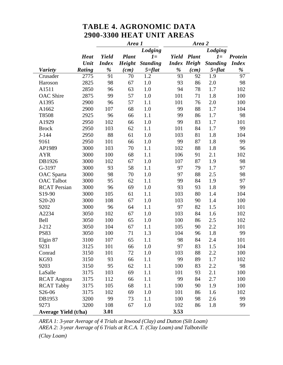### **TABLE 4. AGRONOMIC DATA 2900-3300 HEAT UNIT AREAS**

|                             |             | Area 1       |              |                 | Area 2  |                    |                 |              |
|-----------------------------|-------------|--------------|--------------|-----------------|---------|--------------------|-----------------|--------------|
|                             |             | Lodging      |              |                 | Lodging |                    |                 |              |
|                             | <b>Heat</b> | Yield        | <b>Plant</b> | $1 =$           |         | Yield Plant        | $1 =$           | Protein      |
|                             | Unit        | <b>Index</b> | Height       | <b>Standing</b> |         | <b>Index Heigh</b> | <b>Standing</b> | <b>Index</b> |
| <b>Variety</b>              | Rating      | %            | (cm)         | $5 = flat$      | %       | (cm)               | $5 = flat$      | %            |
| Crusader                    | 2775        | 91           | 70           | 1.2             | 93      | 92                 | 1.9             | 97           |
| Haroson                     | 2825        | 98           | 67           | 1.0             | 93      | 86                 | 2.0             | 98           |
| A1511                       | 2850        | 96           | 63           | 1.0             | 94      | 78                 | 1.7             | 102          |
| <b>OAC</b> Shire            | 2875        | 99           | 57           | 1.0             | 101     | 71                 | 1.8             | 100          |
| A1395                       | 2900        | 96           | 57           | 1.1             | 101     | 76                 | 2.0             | 100          |
| A1662                       | 2900        | 107          | 68           | 1.0             | 99      | 88                 | 1.7             | 104          |
| T8508                       | 2925        | 96           | 66           | 1.1             | 99      | 86                 | 1.7             | 98           |
| A1929                       | 2950        | 102          | 66           | 1.0             | 99      | 83                 | 1.7             | 101          |
| <b>Brock</b>                | 2950        | 103          | 62           | 1.1             | 101     | 84                 | 1.7             | 99           |
| $J-144$                     | 2950        | 88           | 61           | 1.0             | 103     | 81                 | 1.8             | 104          |
| 9161                        | 2950        | 101          | 66           | 1.0             | 99      | 87                 | 1.8             | 99           |
| AP1989                      | 3000        | 103          | 70           | 1.1             | 102     | 88                 | 1.8             | 96           |
| <b>AYR</b>                  | 3000        | 100          | 68           | 1.1             | 106     | 91                 | 2.1             | 102          |
| DB1926                      | 3000        | 102          | 67           | 1.0             | 107     | 87                 | 1.9             | 98           |
| G-3197                      | 3000        | 93           | 58           | 1.1             | 97      | 79                 | 1.7             | 97           |
| OAC Sparta                  | 3000        | 98           | 70           | 1.0             | 97      | 88                 | 2.5             | 98           |
| <b>OAC Talbot</b>           | 3000        | 95           | 62           | 1.1             | 99      | 84                 | 1.9             | 97           |
| <b>RCAT Persian</b>         | 3000        | 96           | 69           | 1.0             | 93      | 93                 | 1.8             | 99           |
| S19-90                      | 3000        | 105          | 61           | 1.1             | 103     | 80                 | 1.4             | 104          |
| S20-20                      | 3000        | 108          | 67           | 1.0             | 103     | 90                 | 1.4             | 100          |
| 9202                        | 3000        | 96           | 64           | 1.1             | 97      | 82                 | 1.5             | 101          |
| A2234                       | 3050        | 102          | 67           | 1.0             | 103     | 84                 | 1.6             | 102          |
| Bell                        | 3050        | 100          | 65           | 1.0             | 100     | 86                 | 2.5             | 102          |
| $J-212$                     | 3050        | 104          | 67           | 1.1             | 105     | 90                 | 2.2             | 101          |
| <b>PS83</b>                 | 3050        | 100          | 71           | 1.3             | 104     | 96                 | 1.8             | 99           |
| Elgin 87                    | 3100        | 107          | 65           | 1.1             | 98      | 84                 | 2.4             | 101          |
| 9231                        | 3125        | 101          | 66           | 1.0             | 97      | 83                 | 1.5             | 104          |
| Conrad                      | 3150        | 101          | 72           | 1.0             | 103     | 88                 | 2.2             | 100          |
| KG93                        | 3150        | 93           | 66           | 1.1             | 99      | 89                 | 1.7             | 102          |
| 9203                        | 3150        | 95           | 62           | 1.1             | 100     | 83                 | 2.2             | 98           |
| LaSalle                     | 3175        | 103          | 69           | 1.1             | 101     | 93                 | 2.1             | 100          |
| <b>RCAT</b> Angora          | 3175        | 112          | 66           | 1.1             | 99      | 84                 | 2.7             | 100          |
| <b>RCAT Tabby</b>           | 3175        | 105          | 68           | 1.1             | 100     | 90                 | 1.9             | 100          |
| S26-06                      | 3175        | 102          | 69           | 1.0             | 101     | 86                 | 1.6             | 102          |
| DB1953                      | 3200        | 99           | 73           | 1.1             | 100     | 98                 | 2.6             | 99           |
| 9273                        | 3200        | 108          | 67           | 1.0             | 102     | 86                 | 1.8             | 99           |
| <b>Average Yield (t/ha)</b> |             | 3.01         |              |                 | 3.53    |                    |                 |              |

*AREA 1: 3-year Average of 4 Trials at Inwood (Clay) and Dutton (Silt Loam) AREA 2: 3-year Average of 6 Trials at R.C.A. T. (Clay Loam) and Talbotville*

*(Clay Loam)*